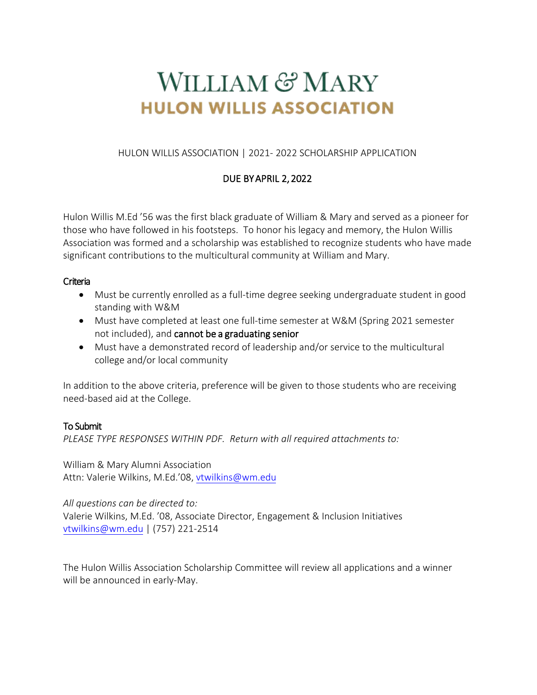# WILLIAM & MARY **HULON WILLIS ASSOCIATION**

HULON WILLIS ASSOCIATION | 2021- 2022 SCHOLARSHIP APPLICATION

## DUE BY APRIL 2, 2022

Hulon Willis M.Ed '56 was the first black graduate of William & Mary and served as a pioneer for those who have followed in his footsteps. To honor his legacy and memory, the Hulon Willis Association was formed and a scholarship was established to recognize students who have made significant contributions to the multicultural community at William and Mary.

## **Criteria**

- Must be currently enrolled as a full-time degree seeking undergraduate student in good standing with W&M
- Must have completed at least one full-time semester at W&M (Spring 2021 semester not included), and cannot be a graduating senior
- Must have a demonstrated record of leadership and/or service to the multicultural college and/or local community

In addition to the above criteria, preference will be given to those students who are receiving need-based aid at the College.

## To Submit

*PLEASE TYPE RESPONSES WITHIN PDF. Return with all required attachments to:*

William & Mary Alumni Association Attn: Valerie Wilkins, M.Ed.'08, [vtwilkins@wm.edu](mailto:vtwilkins@wm.edu)

*All questions can be directed to:*

Valerie Wilkins, M.Ed. '08, Associate Director, Engagement & Inclusion Initiatives [vtwilkins@wm.edu](mailto:vtwilkins@wm.edu) | (757) 221-2514

The Hulon Willis Association Scholarship Committee will review all applications and a winner will be announced in early-May.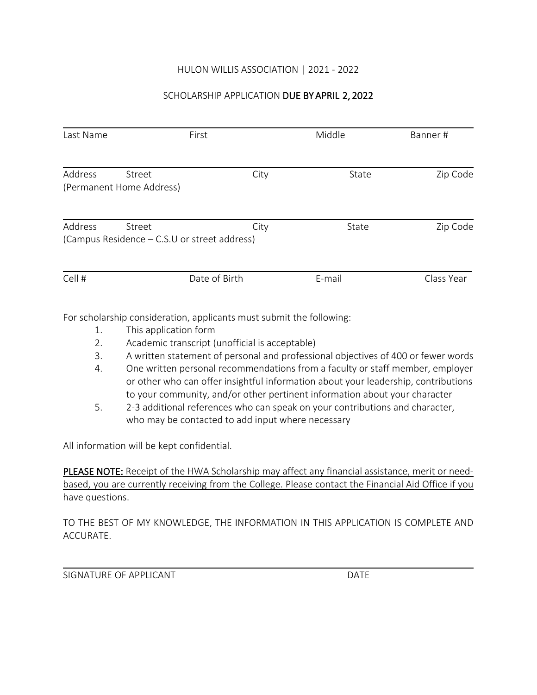## HULON WILLIS ASSOCIATION | 2021 - 2022

## SCHOLARSHIP APPLICATION DUE BY APRIL 2, 2022

| Last Name                                     | First                                                | Middle | Banner#    |
|-----------------------------------------------|------------------------------------------------------|--------|------------|
| Address<br>Street<br>(Permanent Home Address) | City                                                 | State  | Zip Code   |
| Address<br>Street                             | City<br>(Campus Residence – C.S.U or street address) | State  | Zip Code   |
| Cell #                                        | Date of Birth                                        | E-mail | Class Year |

For scholarship consideration, applicants must submit the following:

- 1. This application form
- 2. Academic transcript (unofficial is acceptable)
- 3. A written statement of personal and professional objectives of 400 or fewer words
- 4. One written personal recommendations from a faculty or staff member, employer or other who can offer insightful information about your leadership, contributions to your community, and/or other pertinent information about your character
- 5. 2-3 additional references who can speak on your contributions and character, who may be contacted to add input where necessary

All information will be kept confidential.

PLEASE NOTE: Receipt of the HWA Scholarship may affect any financial assistance, merit or needbased, you are currently receiving from the College. Please contact the Financial Aid Office if you have questions.

TO THE BEST OF MY KNOWLEDGE, THE INFORMATION IN THIS APPLICATION IS COMPLETE AND ACCURATE.

SIGNATURE OF APPLICANT **EXECUTE A SIGNATURE OF APPLICANT**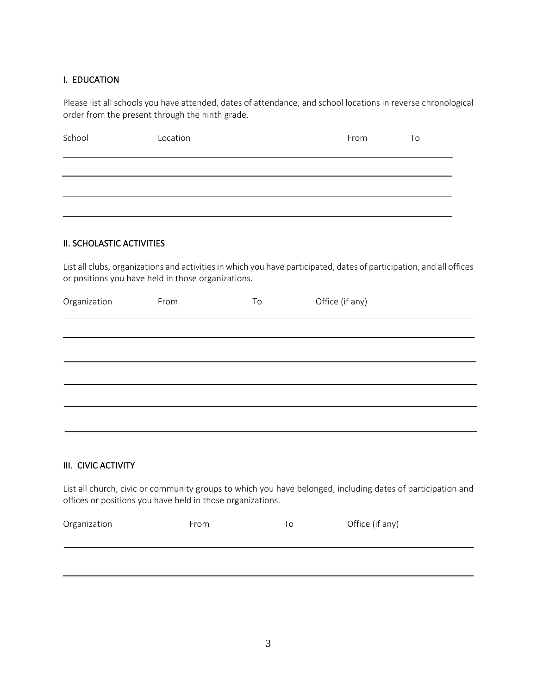#### I. EDUCATION

Please list all schools you have attended, dates of attendance, and school locations in reverse chronological order from the present through the ninth grade.

| School | Location | From | To |
|--------|----------|------|----|
|        |          |      |    |
|        |          |      |    |
|        |          |      |    |

#### II. SCHOLASTIC ACTIVITIES

List all clubs, organizations and activities in which you have participated, dates of participation, and all offices or positions you have held in those organizations.

| Organization | From | To | Office (if any) |  |
|--------------|------|----|-----------------|--|
|              |      |    |                 |  |
|              |      |    |                 |  |
|              |      |    |                 |  |
|              |      |    |                 |  |
|              |      |    |                 |  |
|              |      |    |                 |  |

#### III. CIVIC ACTIVITY

List all church, civic or community groups to which you have belonged, including dates of participation and offices or positions you have held in those organizations.

| Organization | From | To | Office (if any) |
|--------------|------|----|-----------------|
|              |      |    |                 |
|              |      |    |                 |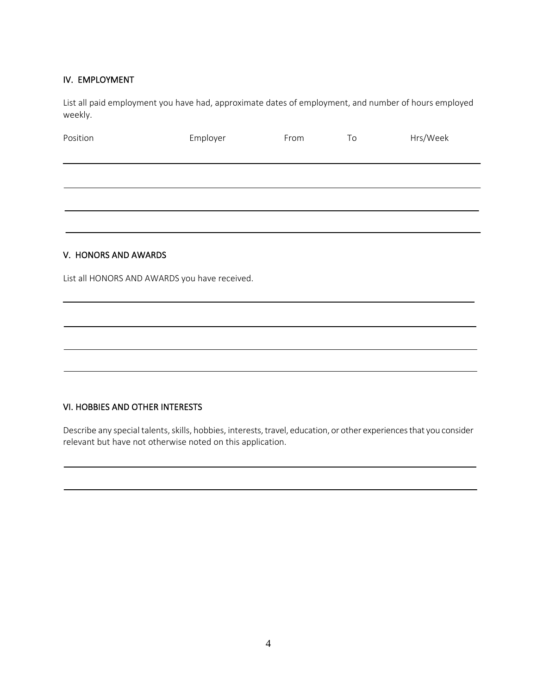#### IV. EMPLOYMENT

List all paid employment you have had, approximate dates of employment, and number of hours employed weekly.

| Position             | Employer | From | To | Hrs/Week |
|----------------------|----------|------|----|----------|
|                      |          |      |    |          |
|                      |          |      |    |          |
|                      |          |      |    |          |
| V. HONORS AND AWARDS |          |      |    |          |

List all HONORS AND AWARDS you have received.

#### VI. HOBBIES AND OTHER INTERESTS

Describe any special talents, skills, hobbies, interests, travel, education, or other experiences that you consider relevant but have not otherwise noted on this application.